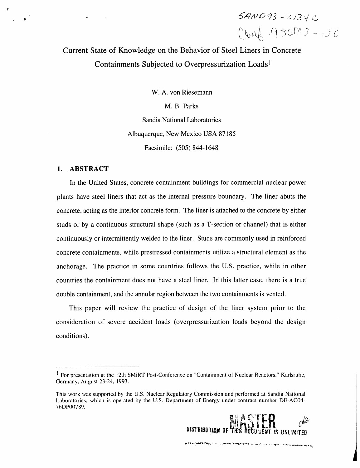$SAND93 - 2134C$  $C016.93003 - 30$ 

# Current State of Knowledge on the Behavior of Steel Liners in Concrete Containments Subjected to Overpressurization Loads I

W. A. von Riesemann M. B. Parks Sandia National Laboratories Albuquerque, New Mexico USA 87185 Facsimile: (505) 844-1648

# 1. ABSTRACT

*v*

In the United States, concrete containment buildings for co*m*mercial nuclear power plants have steel liners that act as the internal pressure boundary. The liner abuts the concrete, acting as the interior concrete form. The liner is attached to the concrete by either studs or by a continuous structural shape (such as a T-section or channel) that is either continuously or intermittently welded to the liner. Studs are commonly used in reinforced concrete containments, while prestressed containments utilize a structural element as the anchorage. The practice in some countries follows the U.S. practice, while in other countries the containment does not have a steel liner. In this latter case, there is a true double containment, and the annular region between the two containments is vented.

This paper will review the practice of design of the liner system prior to the consideration of severe accident loads (overpressurization loads beyond the design conditions).

ELA OF THIS DOG

ir sin ya y<del>an musika Marita Marak</del>i ya zaman ya masa wa kama kwa matene n<del>a wasa wa ya wa</del> k

 $\frac{1}{2}$ 

<sup>&</sup>lt;sup>1</sup> For presentation at the 12th SMiRT Post-Conference on "Containment of Nuclear Reactors," Karlsruhe, Germany, August 23-24, 1993.

This work was supported by the U.S. Nuclear Regulatory Commission and performed at Sandia National Laboratories, which is operated by the U.S. Department of Energy under contract number DE-AC04- 76DP00789.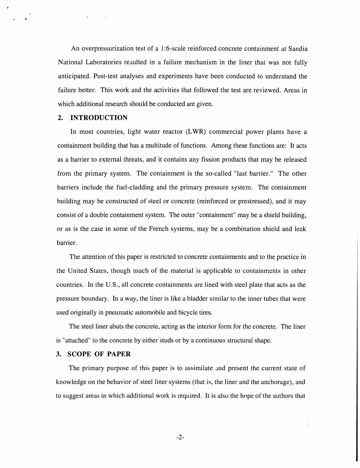An overpressurization test of a l:6-scale reinforced concrete containment at Sandia National Laboratories resulted in a failure mechanism in the liner that was not fully anticipated. Post-test analyses and experiments have been conducted to understand the failure better. This work and the activities that followed the test are reviewed. Areas in which additional research should be conducted are given.

# 2. INTRODUCTION

i

*?*

In most countries, light water reactor (LWR) commercial power plants have a containment building that has a multitude of functions. Among these functions are: It acts as a barrier to external threats, and it contains any fission products that may be released from the primary system. The containment is the so-called "last barrier." The other barriers include the fuel-cladding and the primary pressure system. The containment building may be constructed of steel or concrete (reinforced or prestressed), and it may consist of a double containment system. The outer "containment" may be a shield building, or as is the case in some of the French systems, may be a combination shield and leak barrier.

The attention of this paper is restricted to concrete containments and to the practice in the United States, though much of the material is applicable to containments in other countries. In the U.S., all concrete containments are lined with steel plate that acts as the pressure boundary. In a way, the liner is like a bladder similar to the inner tubes that were used originally in pneumatic automobile and bicycle tires.

The steel liner abuts the concrete, acting as the interior form for the concrete. The liner is "attached" to the concrete by either studs or by a continuous structural shape.

#### 3. SCOPE OF PAPER

The primary purpose of this paper is to assimilate and present the current state of knowledge on the behavior of steel liner systems (that is, the liner and the anchorage), and to suggest areas in which additional work is required. It is also the hope of the authors that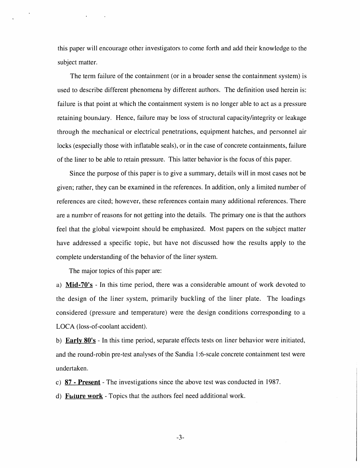this paper will encourage other investigators to come forth and add their knowledge to the subject matter.

The term failure of the containment (or in a broader sense the containment system) is used to describe different phenomena by different authors. The definition used herein is: failure is that point at which the containment system is no longer able to act as a pressure retaining boundary. Hence, failure may be loss of structural capacity*/*integrity or leakage through the mechanical or electrical penetrations, equipment hatches, and personnel air locks (especially those with inflatable seals), or in t**h**e case of concrete containments, failure of the liner to be able to retain pressure. This latter behavior is the focus of this paper.

Since the purpose of this paper is to give a summary, details will in most cases not be given; rather, they can be examined in the references. In addition, only a limited number of references are cited; however, these references contain many additional references. There are a number of reasons for not getting into the details. The primary one is that the authors feel that the global viewpoint should be emphasized. Most papers on the subject matter have addressed a specific topic, but have not discussed how the results apply to the complete understanding of the behavior of the liner system.

The major topics of this paper are:

a) M**id-70**'s - In this time period, there was a considerable amount of work devoted to the design of the liner system, primarily buckling of the liner plate. The loadings considered (pressure and temperature) were the design conditions corresponding to a LOCA (loss-of-coolant accident).

b) E**a***rly 8***0's** - In this time period, separate effects tests on liner behavior were initiated, and the round-robin pre-test analyses of the Sandia 1:6-scale concrete containment test were undertaken.

c) 87 - Present - The investigations since the above test was conducted in 1987.

d) F*uture work* - Topics that the authors feel need additional work.

-3-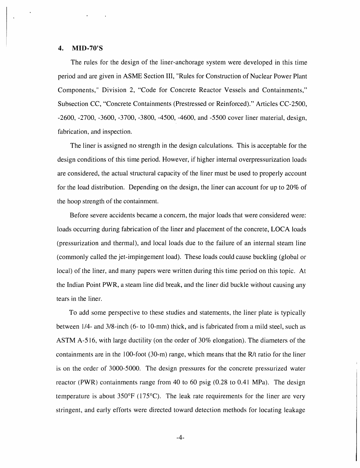# 4. MI**D**-**70**'S

i

The rules for the design of the liner-anchorage system were developed in this t**i**me period and are given in ASME Sect**i**on III, "Rules for Construction **o**f Nuclear Power Plant Components," D**i**visi**o**n 2, "Code f**o**r Concrete React**o**r Vessels and C**o**ntainments," Subsection CC, "Concrete Containments (Prestressed or Reinf**o**rced)." Articles CC-250**0**, -2600, -*2*700, -3600, -3700, -3800, -45**00**, -4600, and -550**0** c**o**ver l**i**ner material, design, fabricat**io**n, and inspection.

The l**i**ner is assigned no strength in the des**i**gn calcu**l**ations. Th**i**s is acceptable for the des**i**gn condit**i**ons of th**i**s time period. However, if higher internal overpressur**i**zation loads are cons**i**dered, the actual structural capacity **o**f the liner must be used t**o** pr**o**perly acc**o**unt for the load distributi**o**n. Depending **o**n the design, the l**i**ner can acc**o**unt f**o**r up t**o** 2**0**% of the hoop strength of the containment.

Before severe accidents became a concern, the maj**o**r loads that were considered were: loads occurring during fabricati**o**n of the liner and placement **o**f the concrete, LOCA l**o**ads (pressurization and thermal), and local l**o**ads due to the failure of an internal steam line (commonly called the jet-impingement load). These loads could cause buckling (globa**l** or local) of the liner, and many papers were written during this time period **o**n th**i**s topic. At the Indian Point PWR, a steam line did break, and the liner did buckle without causing any tears in the liner.

To add some perspective to these studies and statements, the liner plate is typically between 1/4- and 3/8-inch (6- to 10-mm) thick, and is fabricated from a mild steel, such as ASTM A-516, with large ductility (on the order of 30% elongation). The diameters of the containments are in the 100-foot (3**0**-m) range, which means that the R*/*t ratio for the liner is on the order of 3000-5000. The design pressures for the concrete pressurized water reactor (PWR) containments range from 40 to 60 psig (0.28 to 0.41 MPa). The design temperature is about 350°F (175°C). The leak rate requirements for the liner are very stringent, and early efforts were directed toward detection methods for locating leakage

-4-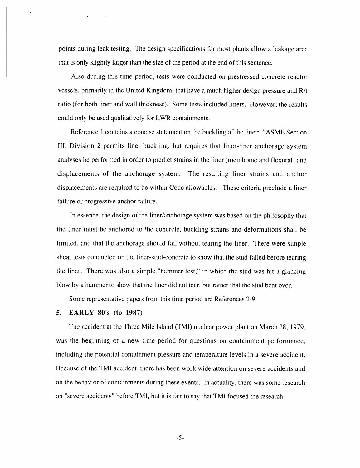points during leak testing. The design specifications for most plants allow a leakage area that is only slightly larger than the size of the period at the end of this sentence.

Also during this time period, tests were conducted on prestressed concrete reactor vessels, primarily in the United Kingdom, that have a much higher design pressure and R*/*t ratio (for both liner and wall thickness). Some tests included liners. However, the results could only be used qualitatively for LWR containments.

Reference I contains a concise statement on the buckling of the liner: "ASME Section III, Division 2 permits liner buckling, but requires that liner-liner anchorage system analyses be performed in order to predict strains in the liner (membrane and flexural) and displacements of the anchorage system. The resulting liner strains and anchor displacements are required to be within Code allowables. These criteria preclude a liner failure or progressive anchor failure."

In essence, the design of the liner/anchorage system was based on the philosophy that the liner must be anchored to the concrete, buckling strains and deformations shall be limited, and that the anchorage should fail without tearing the liner. There were simple shear tests conducted on the liner-stud-concrete to show that the stud failed before tearing t**i**le liner. There was also a simple "hammer test," in which the stud was hit a glancing blow by a hammer to show that the liner did not tear, but rather that the stud bent over.

Some representative papers from this time period are References 2-9.

#### 5. EARLY 8**0**'s (to 1987)

The accident at the Three Mile Island (TMI) nuclear power plant on March 28, 1979, was the beginning of a new time period for questions on containment performance, including the potential containment pressure and temperature levels in a severe accident. Because of the TMI accident, there has been worldwide attention on severe accidents and on the behavior of containments during these events. In actuality, there was some research on "severe accidents" before TMI, but it is fair to say that TMI focused the research.

-5-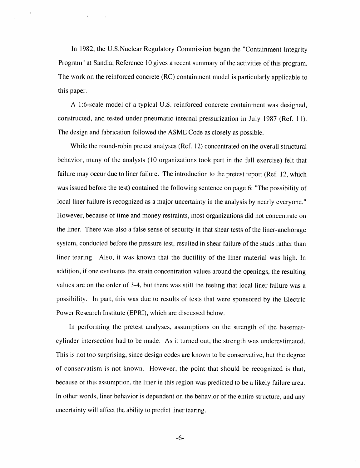In 1982, the U.S.Nuclear Regulatory Commission began the "Containment Integrity Program" at Sandia; Reference I0 gives a recent summary of the activities of this program. The work on the reinforced concrete (RC) containment model is particularly applicable to this paper.

A l:6-scale model of a typical U.S. reinforced concrete containment was designed, constructed, and tested under pneumatic internal pressurization in July 1987 (Ref. 11). The design and fabrication followed the ASME Code as closely as possible.

While the round-robin pretest analyses (Ref. 12) concentrated on the overall structural behavior, many of the analysts (10 organizations took part in the full exercise) felt that failure may occur due to liner failure. The introduction to the pretest report (Ref. 12, which was issued before the test) contained the following sentence on page 6: "The possibility of local liner failure is recognized as a major uncertainty in the analysis by nearly everyone." However, because of time and money restraints, most organizations did not concentrate on the liner. There was also a false sense of security in that shear tests of the liner-anchorage system, conducted before the pressure test, resulted in shear failure of the studs rather than liner tearing. Also, it was known that the ductility of the liner material was high. In addition, if one evaluates the strain concentration values around the openings, the resulting values are on the order of 3-4, but there was still the feeling that local liner failure was a possibility. In part, this was due to results of tests that were sponsored by the Electric Power Research Institute (EPRI), which are discussed below.

In performing the pretest analyses, assumptions on the strength of the basematcylinder intersection had to be made. As it turned out, the strength was underestimated. This is not too surprising, since design codes are known to be conservative, but the degree of conservatism is not known. However, the point that should be recognized is that, because of this assumption, the liner in this region was predicted to be a likely failure area. In other words, liner behavior is dependent on the behavior of the entire structure, and any uncertainty will affect the ability to predict liner tearing.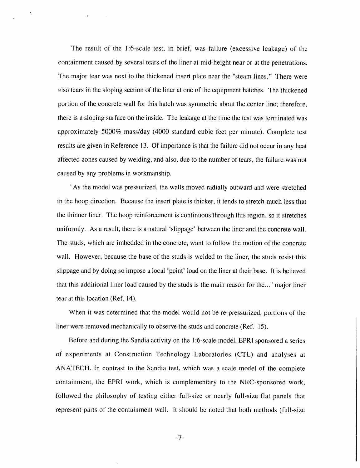The result of the l:6-scale test, in brief, was failure (excessive leakage) of the containment caused by several tears of the liner at mid-height near or at the penetrations. The major tear was next to the thickened insert plate near the "steam lines." There were also tears in the sloping section of the liner at one of the equipment hatches. The thickened portion of the concrete wall for this hatch was symmetric about the center line; therefore, there is a sloping surface on the inside. The leakage at the time the test was terminated was approximately 5000% mass*/*day (4000 standard cubic feet per minute). Complete test results are given in Reference 13. Of importance is that the failure did not occur in any heat affected zones caused by welding, and also, due to the number of tears, the failure was not caused by any problems in workmanship.

"As the model was pressurized, the walls moved radially outward and were stretched in the hoop direction. Because the insert plate is thicker, it tends to stretch much less that the thinner liner. The hoop reinforcement is continuous through this region, so it stretches uniformly. As a result, there is a natural 'slippage' between the liner and the concrete wall. The studs, which are imbedded in the concrete, want to follow the motion of the concrete wall. However, because the base of the studs is welded to the liner, the studs resist this slippage and by doing so impose a local 'point' load on the liner at their base. It is believed that this additional liner load caused by the studs is the main reason for the..." major liner tear at this location (Ref. 14).

When it was determined that the model would not be re-pressurized, portions of the liner were removed mechanically to observe the studs and concrete (Ref. 15).

Before and during the Sandia activity on the 1:6-scale model, EPRI sponsored a series of experiments at Construction Technology Laboratories (CTL) and analyses at ANATECH. In contrast to the Sandia test, which was a scale model of the complete containment, the EPRI work, which is complementary to the NRC-sponsored work, followed the philosophy of testing either full-size or nearly full-size flat panels that represent parts of the containment wall. It should be noted that both methods (full-size

-7-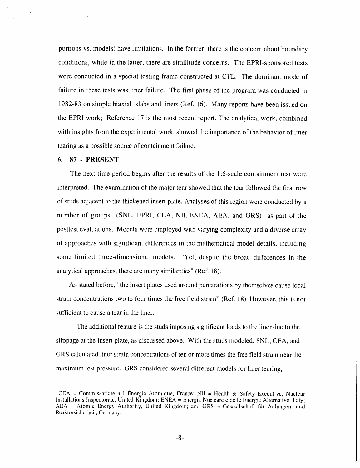por**t**ions vs. models) have limitations. In the former, there is the concern about boundary conditions, while in the latter, there are similitude concerns. The EPRI-sponsored tests were conducted in a special testing frame constructed at CTL. The dominant mode of failure in these tests was liner failure. The first phase of the program was conducted in 1982-83 on simple biaxial slabs and liners (Ref. 16). Many reports have been issued on the EPRI work; Reference 17 is the most recent report. The analytical work, combined with insights from the experimental work, showed the importance of the behavior of liner tearing as a possible source of containment failure.

#### 6**. 87 - PRESENT**

r

I

The next time period begins after the results of the 1:6**-**scale containment test were interpreted. The examination of the major tear showed that the tear followed the first row of studs adjacent to the thickened insert plate. Analyses of this region were conducted by a number of groups (SNL, EPRI, CEA, NII, ENEA, AEA, and GRS)<sup>1</sup> as part of the posttest evaluations. Models were employed with varying complexity and a diverse array of approaches with significant differences in the mathematical model details, including so*m*e limited three**-**dimensional models. "Yet, despite the broad differences in the analytical approaches, there are many similarities" (Ref. 18).

As stated befo*r*e, "the insert plates used around penetrations by themselves cause local strain concentrations two to four times the free field strain" (Ref. 18). However, this is not sufficient to cause a tear in the liner.

The additional feature is the studs imposing significant loads to the liner due to the slippage at the insert plate, as discussed above. With the studs modeled, SNL, C**E**A, and GRS calculated liner strain concentrations of ten or more times the free field strain near the maximum test pressure. GRS considered several different models for liner tearing,

<sup>&</sup>lt;sup>1</sup>CEA = Commissariate a L'Ènergie Atomique, France; NII = Health & Safety Executive, Nuclear Installations Inspectorate, Uni**t**ed Kingdom; ENEA = Energia Nucleare e deile Energie Alterna**t**ive, Ilaly; AEA = Atomic Energy Authority, U**n**ited Kingdom; and GRS **=** Gesscllschaf**!** f**ti**r Anlangen- und Reaktorsicherheit, Germany.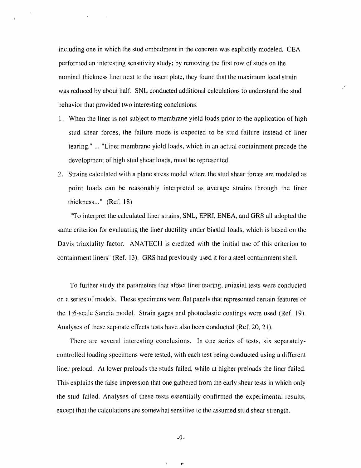including one in which the stud embedment in the concrete was explicitly modeled. CEA performed an interesting sensitivity study; by removing the first row of studs on the nominal thickness liner next to the insert plate, they found that the maximum local strain was reduced by about half. SNL conducted additional calculations to understand the stud ' behavior that provided two interesting conclusions.

,i

- 1. When the liner is not subject to membrane yield loads prior to the application of high stud shear forces*,* the failure mode is expected to be stud failure instead of liner tearing." ... "Liner membrane yield loads, which in an actual containment precede the development of high stud shear loads, must be represented.
- 2. Strains calculated with a plane stress model where the stud shear forces are modeled as point loads can be reasonably interpreted as average strains through the liner thickness..." (Ref. 18)

"To interpret the calculated liner strains*,* SNL*,* EPRI, ENEA, and GRS all adopted the same criterion for evaluating the liner ductility under biaxial loads, which is based on the *D*avis triaxiality factor. ANATECH is credited with the initial use of this criterion to containment liners" (Ref. 13). GRS had previously used it for a steel containment shell.

To further study the parameters that affect liner tearing, uniaxial tests were conducted on a series of models. These specimens were flat panels that represented certain features of the l:6-scale Sandia model. Strain gages and photoelastic coatings were used (Ref. 19). Analyses of these separate effects tests have also been conducted (Ref. 20, 21).

There are several interesting conclusions. In one series of tests, six separatelycontrolled loading specimens were tested, with each test being conducted using a different liner preload. At lower preloads the studs failed, while at higher preloads the liner failed. This explains the false impression that one gathered from the early shear tests in which only the stud failed. Analyses of these tests essentially confirmed the experimental results, except that the calculations are somewhat sensitive to the assumed stud shear strength.

-9-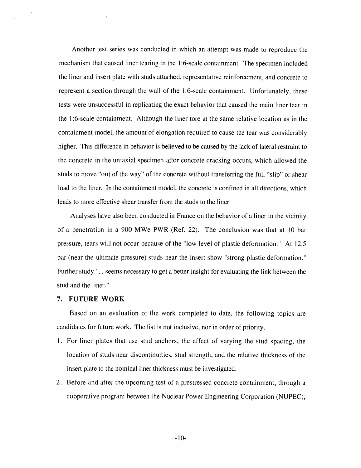Another test series was conducted in which an attempt was made to reproduce the mechanism that caused liner tearing in the l:6-scale containment. The specimen included the liner and insert plate with studs attached, representative reinforcement, and concrete to represent a section through the wall of the l'6-scale containment. Unfortunately, these tests were unsuccessful in replicating the exact behavior that caused the main liner tear in the 1:6-scale containment. Although the liner tore at the same relative location as in the containment model, the amount of elongation required to cause the tear was considerably higher, This difference in behavior is believed to be caused by the lack of lateral restraint to the concrete in the uniaxial specimen after concrete cracking occurs, which allowed the studs to move "out of the way" of the concrete without transferring the full "slip" or shear load to the liner. In the containment model, the concrete is confined in all directions, which leads to more effective shear transfer from the studs to the liner.

Analyses have also been conducted in France on the behavior of a liner in the vicinity of a penetration in a 900 MWe PWR (Ref. 22). The conclusion was that at I0 bar pressure, tears will not occur because of the "low level of plastic deformation." At 12.5 bar (near the ultimate pressure) studs near the insert show "strong plastic deformation." Further study "... seems necessary to get a better insight for evaluating the link between the stud and the liner."

#### 7. FUTURE WORK

Based on an evaluation of the work completed to date, the following topics are candidates for future work. The list is not inclusive, nor in order of priority.

- 1. For liner plates that use stud anchors, the effect of varying the stud spacing, the location of studs near discontinuities, stud strength, and the relative thickness of the insert plate to the nominal liner thickness must be investigated.
- 2. Before and after the upcoming test of a prestressed concrete containment, through a cooperative program between the Nuclear Power Engineering Corporation (NUPEC,),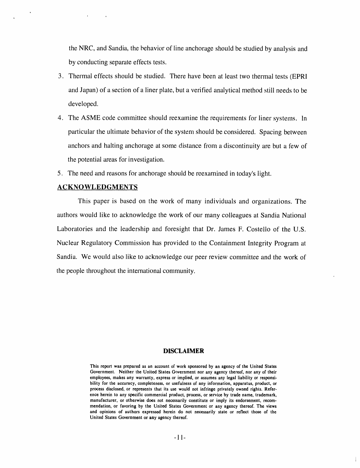the NRC, and Sandia, the behavior of line anchorage should be studied by analysis and by conducting separate effects tests.

- 3. Thermal effects should be studied. There have been at least two thermal tests (EPRI and Japan) of a section of a liner plate, but a verified analytical method still needs to be developed.
- 4. The *A*SME code committee should reexamine the requirements for liner systems. In particular the ultimate behavior of the system should be considered. Spacing between anchors and halting anchorage at some distance from a discontinuity are but a few of the potential areas for investigation.
- 5. The need and reasons for anchorage should be reexamined in today's light.

# ACKNOWLEDGMENTS

, i

This paper is based on the work of many individuals and organizations. The authors would like to acknowledge the work of our many colleagues at Sandia National Laboratories and the leadership and foresight that Dr. James F. Costello of the U.S. Nuclear Regulatory Commission has provided to the Containment Integrity Program at Sandia. We would also like to acknowledge our peer review committee and the work of the people throughout the international community.

## **DIS**C**LAIMER**

Thi**s** repo**r**t **was p**re**par**ed a**s** a**n ac**cou**n**t o**f work s**po**nso**red **by an ag**e**n**cy **of** the **Un**ited **Sta**te**s** Government. Neither the United States G**o**vernment nor any a**g**ency thereof, nor any of their employees, makes any warranty, express or implied**,** or assumes any le**g**al liability or respon**s**ibility for the a**cc**uracy, completeness, or usefulness of any information, ap**p**aratus, produ**c**t, or pro**c**ess disclosed, or represents that its use would not infrin**g**e **p**ri**v**ately owned ri**g**h**t**s. Reference herein to any spe**c**i**fi**c commercial produ**c**t, process, or service by trade name, trademark, manufacturer, or otherwise does not necessarily constitute or imply its endorsement, recommendation, or favorin**g** by the United States Governmen**t** or any a**g**ency thereof. The view**s** and opinion**s** of authors expres**s**ed herein do not neces**s**arily st**a**te or re**fl**ect those of the U**n**i**t**ed S**t**ate**s** Gove**rnm**ent **or** a**ny ag**enc**y th**e**r**eo**f**.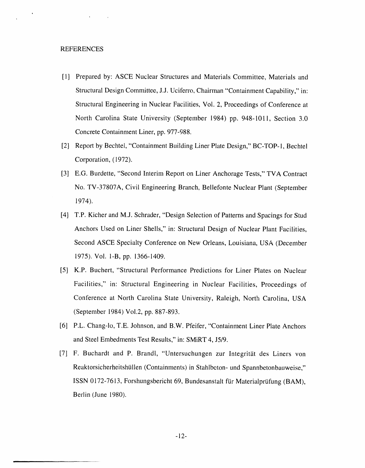#### REFERENCES

- [1] Prepared by: ASCE Nuclear Structures and Materials Committee, Materials and Structural Design Committee, J.J. Uciferro, Chairman "Containment Capability," in: Structural Engineering in Nuclear Facilities, Vol. 2, Proceedings of Conference at North Carolina State University (September 1984) pp. 948-1011, Section 3.0 Concrete Containment Liner, pp. 977-988.
- [2] Report by Bechtel, "Containment Building Liner Plate Design," BC-T*O*P-I, Bechtel Corporation, (1972).
- [3] E.G. Burdette, "Second Interim Report on Liner *A*nchorage Tests," TVA Contract No. TV-37807A, Civil Engineering Branch, Bellefonte Nuclear Plant (September 1974).
- [4] T.P. Kicher and M.J. Schrader, "Design Selection of Patterns and Spacings for Stud *A*nchors Used on Liner Shells," in: Structural Design of Nuclear Plant Facilities, Second ASCE Specialty Conference on New Orleans, Louisiana, USA (December 1975). Vol. I-B, pp. 1366-1409.
- [5] K.P. Buchert, "Structural Performance Predictions for Liner Plates on Nuclear Facilities," in: Structural Engineering in Nuclear Facilities, Proceedings of Conference at North Carolina State University, Raleigh, North Carolina, USA (September 1984) Vol.2, pp. 887-893.
- [6] P.L. Chang-lo, T.E. Johnson, and B.W. Pfeifer, "Containment Liner Plate Anchors and Steel Embedments Test Results," in: SMiRT 4, J5*/*9.
- [7] F. Buchardt and P. Brandl, "Untersuchungen zur Integrität des Liners von Reaktorsicherheitshüllen (Containments) in Stahlbcton- und Spannbetonbauweise," ISSN 0172-7613, Forshungsbericht 69, Bundesanstalt für Materialprüfung (BAM), Berlin (June 1980).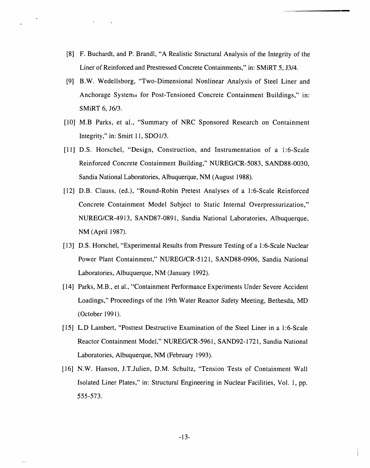- [8] F. Buchardt, and P. Brandl, "A Realistic Structural Analysis of the Integrity of the Liner of Reinforced and Prestressed Concrete Containments," in: SMiRT 5, J3*/*4.
- [9] B.W. Wedellsborg, "Two-Dimensional Nonlinear Analysis of Steel Liner and Anchorage Systems for Post-Tensioned Concrete Containment Buildings," in: SMiRT 6, J6*/*3.
- [10] M.B Parks, et al., "Summary of NRC Sponsored Research on Containment Integrity," in: Smirt 11, SDO 1*/*3.
- [11] D.S. Horschel, "Design, Construction, and Instrumentation of a l:6-Scale Reinforced Concrete Containment Building," NUREG*/*CR-5083, SAND88-0030, Sandia National Laboratories, Albuquerque, NM (August 1988).
- [12] D.B. Clauss, (ed.), "Round-Robin Pretest Analyses of a l:6-Scale Reinforced Concrete Containment Model Subject to Static Internal Overpressurization," NUREG*/*CR-4913, SAND87-0891, Sandia National Laboratories, Albuquerque, NM (April 1987).
- [13] D.S. Horschel, "Experimental Results from Pressure Testing of a l:6-Scale Nuclear Power Plant Containment," NUREG*/*CR-5121, SAND88-0906, Sandia National Laboratories, Albuquerque, NM (January 1992).
- [14] Parks, M.B., et al., "Containment Performance Experiments Under Severe Accident Loadings," Proceedings of the 19th Water Reactor Safety Meeting, Bethesda, MD (October 1991).
- [15] L.D Lambert, "Posttest Destructive Examination of the Steel Liner in a l:6-Scale Reactor Containment Model," NUREG*/*CR-5961, SAND92-1721, Sandia National Laboratories, Albuquerque, NM (February 1993).
- [16] N.W*.* Hanson, J.T.Julien, D.M. Schultz, "Tension Tests of Containment Wall Isolated Liner Plates," in: Structural Engineering in Nuclear Facilities, Vol. 1, pp. 555-573.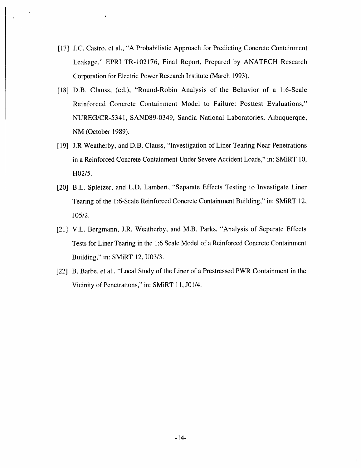[17**]** J.C. Castro, et al., "A Probabilistic Approach for Predicting Concrete Containment Leakage," EPRI TR-102176, Final Report, Prepared by ANATECH Research Corporation for Electric Power Research Institute (March 1993).

|

- [18] D.B. Clauss, (ed.), "Round-Robin Analysis of the Behavior of a 1:6-Scale Reinforced Concrete Containment Model to Failure: Posttest Evaluations," NUREG*/*CR-5341, SAND89-0349, Sandia National Laboratories, Albuquerque, NM (October 1989).
- [19] J.R Weatherby, and D.B. Clauss, "Investigation of Liner Tearing Near Penetrations in a Reinforced Concrete Containment Under Severe Accident Loads," in: SMiRT 10, H02*/*5.
- [20] B.L. Spletzer, and L.D. Lambert, "Separate Effects Testing to Investigate Liner Tearing of the 1:6-Scale Reinforced Concrete Containment Building," in: SMiRT 12, J05*/*2.
- [21] V.L. Bergmann, J.R. Weatherby, and M.B. Parks, "Analysis of Separate Effects Tests for Liner Tearing in the 1:6 Scale Model of a Reinforced Concrete Containment Building," in: SMiRT 12, U03*/*3.
- [22] B. Barbe, et al., "Local Study of the Liner of a Prestressed PWR Containment in the Vicinity of Penetrations," in: SMiRT 11, J01*/*4.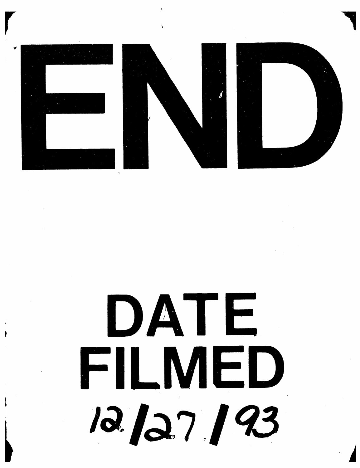

# DATE FILMED 12/27/93